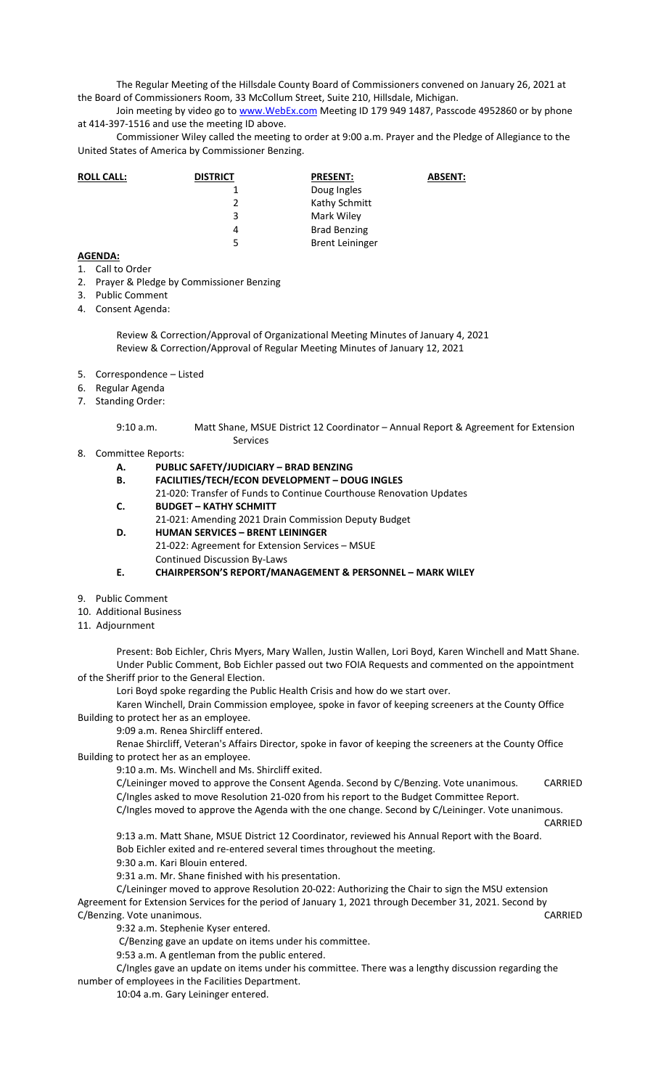The Regular Meeting of the Hillsdale County Board of Commissioners convened on January 26, 2021 at the Board of Commissioners Room, 33 McCollum Street, Suite 210, Hillsdale, Michigan.

Join meeting by video go to www. WebEx.com Meeting ID 179 949 1487, Passcode 4952860 or by phone at 414-397-1516 and use the meeting ID above.

Commissioner Wiley called the meeting to order at 9:00 a.m. Prayer and the Pledge of Allegiance to the United States of America by Commissioner Benzing.

| <b>ROLL CALL:</b> | <b>DISTRICT</b> | <b>PRESENT:</b>        | <b>ABSENT:</b> |
|-------------------|-----------------|------------------------|----------------|
|                   |                 | Doug Ingles            |                |
|                   |                 | Kathy Schmitt          |                |
|                   | 3               | Mark Wiley             |                |
|                   | 4               | <b>Brad Benzing</b>    |                |
|                   | 5               | <b>Brent Leininger</b> |                |

## **AGENDA:**

- 1. Call to Order
- 2. Prayer & Pledge by Commissioner Benzing
- 3. Public Comment
- 4. Consent Agenda:

Review & Correction/Approval of Organizational Meeting Minutes of January 4, 2021 Review & Correction/Approval of Regular Meeting Minutes of January 12, 2021

- 5. Correspondence Listed
- 6. Regular Agenda
- 7. Standing Order:

9:10 a.m. Matt Shane, MSUE District 12 Coordinator – Annual Report & Agreement for Extension Services

8. Committee Reports:

## **A. PUBLIC SAFETY/JUDICIARY – BRAD BENZING**

- **B. FACILITIES/TECH/ECON DEVELOPMENT DOUG INGLES** 
	- 21-020: Transfer of Funds to Continue Courthouse Renovation Updates
- **C. BUDGET KATHY SCHMITT**

21-021: Amending 2021 Drain Commission Deputy Budget **D. HUMAN SERVICES – BRENT LEININGER** 

21-022: Agreement for Extension Services – MSUE Continued Discussion By-Laws

**E. CHAIRPERSON'S REPORT/MANAGEMENT & PERSONNEL – MARK WILEY** 

- 9. Public Comment
- 10. Additional Business
- 11. Adjournment

Present: Bob Eichler, Chris Myers, Mary Wallen, Justin Wallen, Lori Boyd, Karen Winchell and Matt Shane. Under Public Comment, Bob Eichler passed out two FOIA Requests and commented on the appointment of the Sheriff prior to the General Election.

Lori Boyd spoke regarding the Public Health Crisis and how do we start over.

Karen Winchell, Drain Commission employee, spoke in favor of keeping screeners at the County Office Building to protect her as an employee.

9:09 a.m. Renea Shircliff entered.

Renae Shircliff, Veteran's Affairs Director, spoke in favor of keeping the screeners at the County Office Building to protect her as an employee.

9:10 a.m. Ms. Winchell and Ms. Shircliff exited.

C/Leininger moved to approve the Consent Agenda. Second by C/Benzing. Vote unanimous. CARRIED C/Ingles asked to move Resolution 21-020 from his report to the Budget Committee Report.

C/Ingles moved to approve the Agenda with the one change. Second by C/Leininger. Vote unanimous.

CARRIED

9:13 a.m. Matt Shane, MSUE District 12 Coordinator, reviewed his Annual Report with the Board. Bob Eichler exited and re-entered several times throughout the meeting.

9:30 a.m. Kari Blouin entered.

9:31 a.m. Mr. Shane finished with his presentation.

C/Leininger moved to approve Resolution 20-022: Authorizing the Chair to sign the MSU extension Agreement for Extension Services for the period of January 1, 2021 through December 31, 2021. Second by C/Benzing. Vote unanimous. CARRIED

9:32 a.m. Stephenie Kyser entered.

C/Benzing gave an update on items under his committee.

9:53 a.m. A gentleman from the public entered.

C/Ingles gave an update on items under his committee. There was a lengthy discussion regarding the number of employees in the Facilities Department.

10:04 a.m. Gary Leininger entered.